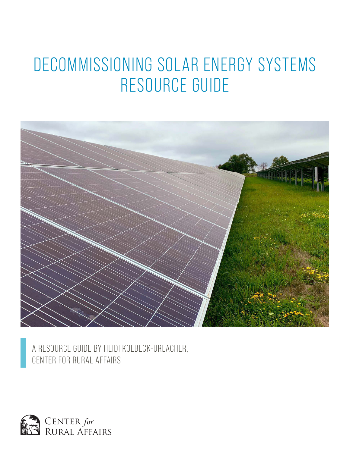# DECOMMISSIONING SOLAR ENERGY SYSTEMS RESOURCE GUIDE



A RESOURCE GUIDE BY HEIDI KOLBECK-URLACHER, CENTER FOR RURAL AFFAIRS

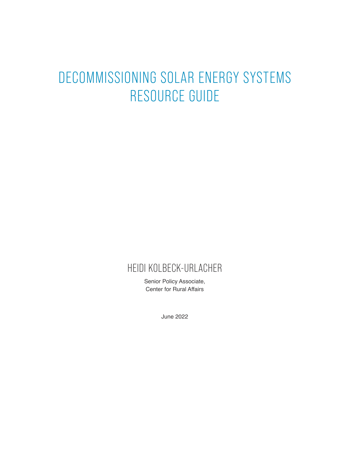# DECOMMISSIONING SOLAR ENERGY SYSTEMS RESOURCE GUIDE

# HEIDI KOLBECK-URLACHER

Senior Policy Associate, Center for Rural Affairs

June 2022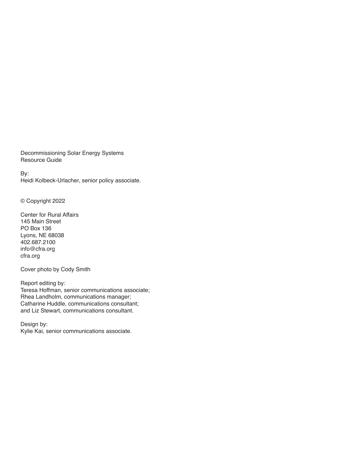Decommissioning Solar Energy Systems Resource Guide

By: Heidi Kolbeck-Urlacher, senior policy associate.

© Copyright 2022

Center for Rural Affairs 145 Main Street PO Box 136 Lyons, NE 68038 402.687.2100 info@cfra.org cfra.org

Cover photo by Cody Smith

Report editing by: Teresa Hoffman, senior communications associate; Rhea Landholm, communications manager; Catharine Huddle, communications consultant; and Liz Stewart, communications consultant.

Design by: Kylie Kai, senior communications associate.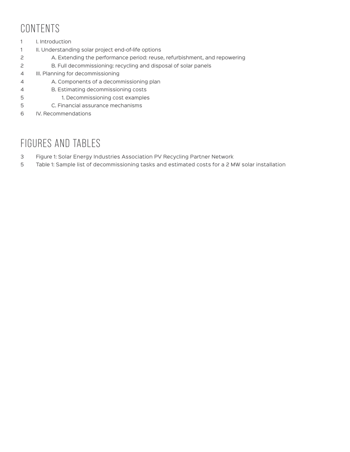# CONTENTS

- 1 I. Introduction
- 1 II. Understanding solar project end-of-life options
- 2 A. Extending the performance period: reuse, refurbishment, and repowering
- 2 B. Full decommissioning: recycling and disposal of solar panels
- 4 III. Planning for decommissioning
- 4 A. Components of a decommissioning plan
- 4 B. Estimating decommissioning costs
- 5 1. Decommissioning cost examples
- 5 C. Financial assurance mechanisms
- 6 IV. Recommendations

# FIGURES AND TABLES

- 3 Figure 1: Solar Energy Industries Association PV Recycling Partner Network
- 5 Table 1: Sample list of decommissioning tasks and estimated costs for a 2 MW solar installation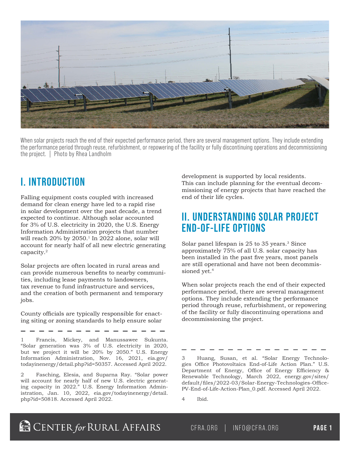

When solar projects reach the end of their expected performance period, there are several management options. They include extending the performance period through reuse, refurbishment, or repowering of the facility or fully discontinuing operations and decommissioning the project. | Photo by Rhea Landholm

## **I. INTRODUCTION**

Falling equipment costs coupled with increased demand for clean energy have led to a rapid rise in solar development over the past decade, a trend expected to continue. Although solar accounted for 3% of U.S. electricity in 2020, the U.S. Energy Information Administration projects that number will reach 20% by 2050.<sup>1</sup> In 2022 alone, solar will account for nearly half of all new electric generating capacity.2

Solar projects are often located in rural areas and can provide numerous benefits to nearby communities, including lease payments to landowners, tax revenue to fund infrastructure and services, and the creation of both permanent and temporary jobs.

County officials are typically responsible for enacting siting or zoning standards to help ensure solar

1 Francis, Mickey, and Manussawee Sukunta. "Solar generation was 3% of U.S. electricity in 2020, but we project it will be 20% by 2050." U.S. Energy Information Administration, Nov. 16, 2021, eia.gov/ todayinenergy/detail.php?id=50357. Accessed April 2022.

2 Fasching, Elesia, and Suparna Ray. "Solar power will account for nearly half of new U.S. electric generating capacity in 2022." U.S. Energy Information Administration, Jan. 10, 2022, eia.gov/todayinenergy/detail. php?id=50818. Accessed April 2022.

development is supported by local residents. This can include planning for the eventual decommissioning of energy projects that have reached the end of their life cycles.

## **II. UNDERSTANDING SOLAR PROJECT END-OF-LIFE OPTIONS**

Solar panel lifespan is 25 to 35 years.<sup>3</sup> Since approximately 75% of all U.S. solar capacity has been installed in the past five years, most panels are still operational and have not been decommissioned vet.<sup>4</sup>

When solar projects reach the end of their expected performance period, there are several management options. They include extending the performance period through reuse, refurbishment, or repowering of the facility or fully discontinuing operations and decommissioning the project.

3 Huang, Susan, et al. "Solar Energy Technologies Office Photovoltaics End-of-Life Action Plan." U.S. Department of Energy, Office of Energy Efficiency & Renewable Technology, March 2022, energy.gov/sites/ default/files/2022-03/Solar-Energy-Technologies-Office-PV-End-of-Life-Action-Plan\_0.pdf. Accessed April 2022.

4 Ibid.

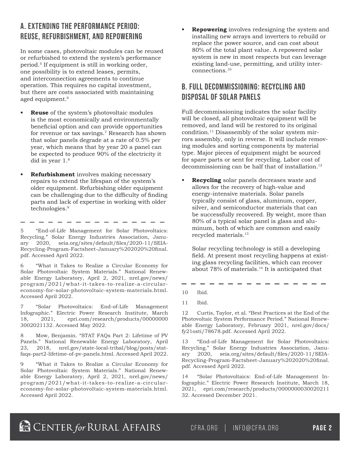### **A. EXTENDING THE PERFORMANCE PERIOD: REUSE, REFURBISHMENT, AND REPOWERING**

In some cases, photovoltaic modules can be reused or refurbished to extend the system's performance period.5 If equipment is still in working order, one possibility is to extend leases, permits, and interconnection agreements to continue operation. This requires no capital investment, but there are costs associated with maintaining aged equipment.<sup>6</sup>

- **• Reuse** of the system's photovoltaic modules is the most economically and environmentally beneficial option and can provide opportunities for revenue or tax savings.7 Research has shown that solar panels degrade at a rate of 0.5% per year, which means that by year 20 a panel can be expected to produce 90% of the electricity it did in year 1.8
- **• Refurbishment** involves making necessary repairs to extend the lifespan of the system's older equipment. Refurbishing older equipment can be challenging due to the difficulty of finding parts and lack of expertise in working with older technologies.9

5 "End-of-Life Management for Solar Photovoltaics: Recycling." Solar Energy Industries Association, January 2020, seia.org/sites/default/files/2020-11/SEIA-Recycling-Program-Factsheet-January%202020%20final. pdf. Accessed April 2022.

- - - - - -

6 "What it Takes to Realize a Circular Economy for Solar Photovoltaic System Materials." National Renewable Energy Laboratory, April 2, 2021, nrel.gov/news/ program/2021/what-it-takes-to-realize-a-circulareconomy-for-solar-photovoltaic-system-materials.html. Accessed April 2022.

7 "Solar Photovoltaics: End-of-Life Management Infographic." Electric Power Research Institute, March 18, 2021, epri.com/research/products/00000000 3002021132. Accessed May 2022.

8 Mow, Benjamin. "STAT FAQs Part 2: Lifetime of PV Panels." National Renewable Energy Laboratory, April 23, 2018, nrel.gov/state-local-tribal/blog/posts/statfaqs-part2-lifetime-of-pv-panels.html. Accessed April 2022.

9 "What it Takes to Realize a Circular Economy for Solar Photovoltaic System Materials." National Renewable Energy Laboratory, April 2, 2021, nrel.gov/news/ program/2021/what-it-takes-to-realize-a-circulareconomy-for-solar-photovoltaic-system-materials.html. Accessed April 2022.

**• Repowering** involves redesigning the system and installing new arrays and inverters to rebuild or replace the power source, and can cost about 80% of the total plant value. A repowered solar system is new in most respects but can leverage existing land-use, permitting, and utility interconnections.10

### **B. FULL DECOMMISSIONING: RECYCLING AND DISPOSAL OF SOLAR PANELS**

Full decommissioning indicates the solar facility will be closed, all photovoltaic equipment will be removed, and land will be restored to its original condition.11 Disassembly of the solar system mirrors assembly, only in reverse. It will include removing modules and sorting components by material type. Major pieces of equipment might be sourced for spare parts or sent for recycling. Labor cost of decommissioning can be half that of installation.<sup>12</sup>

**• Recycling** solar panels decreases waste and allows for the recovery of high-value and energy-intensive materials. Solar panels typically consist of glass, aluminum, copper, silver, and semiconductor materials that can be successfully recovered. By weight, more than 80% of a typical solar panel is glass and aluminum, both of which are common and easily recycled materials.13

Solar recycling technology is still a developing field. At present most recycling happens at existing glass recycling facilities, which can recover about 78% of materials.<sup>14</sup> It is anticipated that

10 Ibid.

11 Ibid.

12 Curtis, Taylor, et al. "Best Practices at the End of the Photovoltaic System Performance Period." National Renewable Energy Laboratory, February 2021, nrel.gov/docs/ fy21osti/78678.pdf. Accessed April 2022.

13 "End-of-Life Management for Solar Photovoltaics: Recycling." Solar Energy Industries Association, January 2020, seia.org/sites/default/files/2020-11/SEIA-Recycling-Program-Factsheet-January%202020%20final. pdf. Accessed April 2022.

14 "Solar Photovoltaics: End-of-Life Management Infographic." Electric Power Research Institute, March 18, 2021, epri.com/research/products/0000000030020211 32. Accessed December 2021.

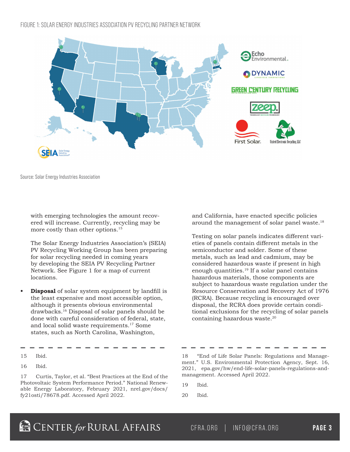#### FIGURE 1: SOLAR ENERGY INDUSTRIES ASSOCIATION PV RECYCLING PARTNER NETWORK



Source: Solar Energy Industries Association

with emerging technologies the amount recovered will increase. Currently, recycling may be more costly than other options.15

The Solar Energy Industries Association's (SEIA) PV Recycling Working Group has been preparing for solar recycling needed in coming years by developing the SEIA PV Recycling Partner Network. See Figure 1 for a map of current locations.

**• Disposal** of solar system equipment by landfill is the least expensive and most accessible option, although it presents obvious environmental drawbacks.16 Disposal of solar panels should be done with careful consideration of federal, state, and local solid waste requirements.17 Some states, such as North Carolina, Washington,

15 Ibid.

17 Curtis, Taylor, et al. "Best Practices at the End of the Photovoltaic System Performance Period." National Renewable Energy Laboratory, February 2021, nrel.gov/docs/ fy21osti/78678.pdf. Accessed April 2022.

and California, have enacted specific policies around the management of solar panel waste.<sup>18</sup>

Testing on solar panels indicates different varieties of panels contain different metals in the semiconductor and solder. Some of these metals, such as lead and cadmium, may be considered hazardous waste if present in high enough quantities.19 If a solar panel contains hazardous materials, those components are subject to hazardous waste regulation under the Resource Conservation and Recovery Act of 1976 (RCRA). Because recycling is encouraged over disposal, the RCRA does provide certain conditional exclusions for the recycling of solar panels containing hazardous waste.20

18 "End of Life Solar Panels: Regulations and Management." U.S. Environmental Protection Agency, Sept. 16, 2021, epa.gov/hw/end-life-solar-panels-regulations-andmanagement. Accessed April 2022.

- 19 Ibid.
- 20 Ibid.

<sup>16</sup> Ibid.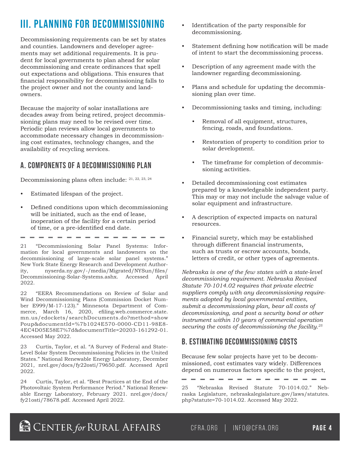# **III. PLANNING FOR DECOMMISSIONING**

Decommissioning requirements can be set by states and counties. Landowners and developer agreements may set additional requirements. It is prudent for local governments to plan ahead for solar decommissioning and create ordinances that spell out expectations and obligations. This ensures that financial responsibility for decommissioning falls to the project owner and not the county and landowners.

Because the majority of solar installations are decades away from being retired, project decommissioning plans may need to be revised over time. Periodic plan reviews allow local governments to accommodate necessary changes in decommissioning cost estimates, technology changes, and the availability of recycling services.

#### **A. COMPONENTS OF A DECOMMISSIONING PLAN**

Decommissioning plans often include: 21, 22, 23, 24

- Estimated lifespan of the project.
- Defined conditions upon which decommissioning will be initiated, such as the end of lease, inoperation of the facility for a certain period of time, or a pre-identified end date.

21 "Decommissioning Solar Panel Systems: Information for local governments and landowners on the decommissioning of large-scale solar panel systems." New York State Energy Research and Development Authority, nyserda.ny.gov/-/media/Migrated/NYSun/files/ Decommissioning-Solar-Systems.ashx. Accessed April 2022.

22 "EERA Recommendations on Review of Solar and Wind Decommissioning Plans (Commission Docket Number E999/M-17-123)." Minnesota Department of Commerce, March 16, 2020, efiling.web.commerce.state. mn.us/edockets/searchDocuments.do?method=show Poup&documentId=%7b1024E570-0000-CD11-98E8- 4EC4D05E58E7%7d&documentTitle=20203-161292-01. Accessed May 2022.

23 Curtis, Taylor, et al. "A Survey of Federal and State-Level Solar System Decommissioning Policies in the United States." National Renewable Energy Laboratory, December 2021, nrel.gov/docs/fy22osti/79650.pdf. Accessed April 2022.

24 Curtis, Taylor, et al. "Best Practices at the End of the Photovoltaic System Performance Period." National Renewable Energy Laboratory, February 2021. nrel.gov/docs/ fy21osti/78678.pdf. Accessed April 2022.

- Identification of the party responsible for decommissioning.
- Statement defining how notification will be made of intent to start the decommissioning process.
- Description of any agreement made with the landowner regarding decommissioning.
- Plans and schedule for updating the decommissioning plan over time.
- Decommissioning tasks and timing, including:
	- Removal of all equipment, structures, fencing, roads, and foundations.
	- Restoration of property to condition prior to solar development.
	- The timeframe for completion of decommissioning activities.
- Detailed decommissioning cost estimates prepared by a knowledgeable independent party. This may or may not include the salvage value of solar equipment and infrastructure.
- A description of expected impacts on natural resources.
- Financial surety, which may be established through different financial instruments, such as trusts or escrow accounts, bonds, letters of credit, or other types of agreements.

*Nebraska is one of the few states with a state-level decommissioning requirement. Nebraska Revised Statute 70-1014.02 requires that private electric suppliers comply with any decommissioning requirements adopted by local governmental entities, submit a decommissioning plan, bear all costs of decommissioning, and post a security bond or other instrument within 10 years of commercial operation securing the costs of decommissioning the facility.25*

### **B. ESTIMATING DECOMMISSIONING COSTS**

Because few solar projects have yet to be decommissioned, cost estimates vary widely. Differences depend on numerous factors specific to the project,

- - -

25 "Nebraska Revised Statute 70-1014.02." Nebraska Legislature, nebraskalegislature.gov/laws/statutes. php?statute=70-1014.02. Accessed May 2022.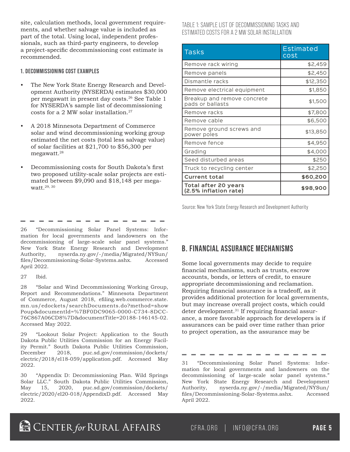site, calculation methods, local government requirements, and whether salvage value is included as part of the total. Using local, independent professionals, such as third-party engineers, to develop a project-specific decommissioning cost estimate is recommended.

#### **1. DECOMMISSIONING COST EXAMPLES**

- The New York State Energy Research and Development Authority (NYSERDA) estimates \$30,000 per megawatt in present day costs.26 See Table 1 for NYSERDA's sample list of decommissioning costs for a 2 MW solar installation. $27$
- A 2018 Minnesota Department of Commerce solar and wind decommissioning working group estimated the net costs (total less salvage value) of solar facilities at \$21,700 to \$56,300 per megawatt.28
- Decommissioning costs for South Dakota's first two proposed utility-scale solar projects are estimated between \$9,090 and \$18,148 per megawatt.29, 30

#### TABLE 1: SAMPLE LIST OF DECOMMISSIONING TASKS AND ESTIMATED COSTS FOR A 2 MW SOLAR INSTALLATION

| <b>Tasks</b>                                         | <b>Estimated</b><br>cost |
|------------------------------------------------------|--------------------------|
| Remove rack wiring                                   | \$2,459                  |
| Remove panels                                        | \$2,450                  |
| Dismantle racks                                      | \$12,350                 |
| Remove electrical equipment                          | \$1,850                  |
| Breakup and remove concrete<br>pads or ballasts      | \$1,500                  |
| Remove racks                                         | \$7,800                  |
| Remove cable                                         | \$6,500                  |
| Remove ground screws and<br>power poles              | \$13,850                 |
| Remove fence                                         | \$4,950                  |
| Grading                                              | \$4,000                  |
| Seed disturbed areas                                 | \$250                    |
| Truck to recycling center                            | \$2,250                  |
| <b>Current total</b>                                 | \$60,200                 |
| <b>Total after 20 years</b><br>(2.5% inflation rate) | \$98,900                 |

Source: New York State Energy Research and Development Authority

26 "Decommissioning Solar Panel Systems: Information for local governments and landowners on the decommissioning of large-scale solar panel systems." New York State Energy Research and Development Authority, nyserda.ny.gov/-/media/Migrated/NYSun/ files/Decommissioning-Solar-Systems.ashx. Accessed April 2022.

27 Ibid.

28 "Solar and Wind Decommissioning Working Group, Report and Recommendations." Minnesota Department of Commerce, August 2018, efiling.web.commerce.state. mn.us/edockets/searchDocuments.do?method=show Poup&documentId=%7BF0DC9065-0000-C734-8DCC-76C867A06CD8%7D&documentTitle=20188-146145-02. Accessed May 2022.

29 "Lookout Solar Project: Application to the South Dakota Public Utilities Commission for an Energy Facility Permit." South Dakota Public Utilities Commission, December 2018, puc.sd.gov/commission/dockets/ electric/2018/el18-059/application.pdf. Accessed May 2022.

30 "Appendix D: Decommissioning Plan. Wild Springs Solar LLC." South Dakota Public Utilities Commission,<br>May 15, 2020, puc.sd.gov/commission/dockets/ May 15, 2020, puc.sd.gov/commission/dockets/ electric/2020/el20-018/AppendixD.pdf. Accessed May 2022.

#### **B. FINANCIAL ASSURANCE MECHANISMS**

Some local governments may decide to require financial mechanisms, such as trusts, escrow accounts, bonds, or letters of credit, to ensure appropriate decommissioning and reclamation. Requiring financial assurance is a tradeoff, as it provides additional protection for local governments, but may increase overall project costs, which could deter development.31 If requiring financial assurance, a more favorable approach for developers is if assurances can be paid over time rather than prior to project operation, as the assurance may be

31 "Decommissioning Solar Panel Systems: Information for local governments and landowners on the decommissioning of large-scale solar panel systems." New York State Energy Research and Development Authority, nyserda.ny.gov/-/media/Migrated/NYSun/ files/Decommissioning-Solar-Systems.ashx. Accessed April 2022.

**B** CENTER for RURAL AFFAIRS